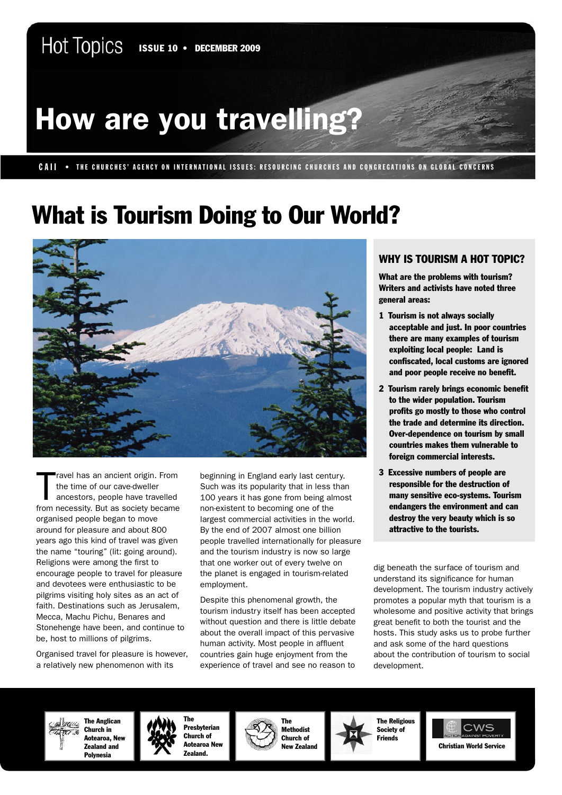# How are you travelling?

### CAII • THE CHURCHES' AGENCY ON INTERNATIONAL ISSUES: RESOURCING CHURCHES AND CONGREGATIONS ON GLOBAL CONCERNS

## What is Tourism Doing to Our World?



T ravel has an ancient origin. From the time of our cave-dweller ancestors, people have travelled from necessity. But as society became organised people began to move around for pleasure and about 800 years ago this kind of travel was given the name "touring" (lit: going around). Religions were among the first to encourage people to travel for pleasure and devotees were enthusiastic to be pilgrims visiting holy sites as an act of faith. Destinations such as Jerusalem, Mecca, Machu Pichu, Benares and Stonehenge have been, and continue to be, host to millions of pilgrims.

Organised travel for pleasure is however, a relatively new phenomenon with its

beginning in England early last century. Such was its popularity that in less than 100 years it has gone from being almost non-existent to becoming one of the largest commercial activities in the world. By the end of 2007 almost one billion people travelled internationally for pleasure and the tourism industry is now so large that one worker out of every twelve on the planet is engaged in tourism-related employment.

Despite this phenomenal growth, the tourism industry itself has been accepted without question and there is little debate about the overall impact of this pervasive human activity. Most people in affluent countries gain huge enjoyment from the experience of travel and see no reason to

### WHY IS TOURISM A HOT TOPIC?

What are the problems with tourism? Writers and activists have noted three general areas:

- 1 Tourism is not always socially acceptable and just. In poor countries there are many examples of tourism exploiting local people: Land is confiscated, local customs are ignored and poor people receive no benefit.
- 2 Tourism rarely brings economic benefit to the wider population. Tourism profits go mostly to those who control the trade and determine its direction. Over-dependence on tourism by small countries makes them vulnerable to foreign commercial interests.
- 3 Excessive numbers of people are responsible for the destruction of many sensitive eco-systems. Tourism endangers the environment and can destroy the very beauty which is so attractive to the tourists.

dig beneath the surface of tourism and understand its significance for human development. The tourism industry actively promotes a popular myth that tourism is a wholesome and positive activity that brings great benefit to both the tourist and the hosts. This study asks us to probe further and ask some of the hard questions about the contribution of tourism to social development.

The Anglican Utilist Church in Aotearoa, New Zealand and Polynesia



The Presbyterian Church of Aotearoa New Zealand.





 $2M^2$ Christian World Service

Hot Topics • Topic 10 • December 2009 • 1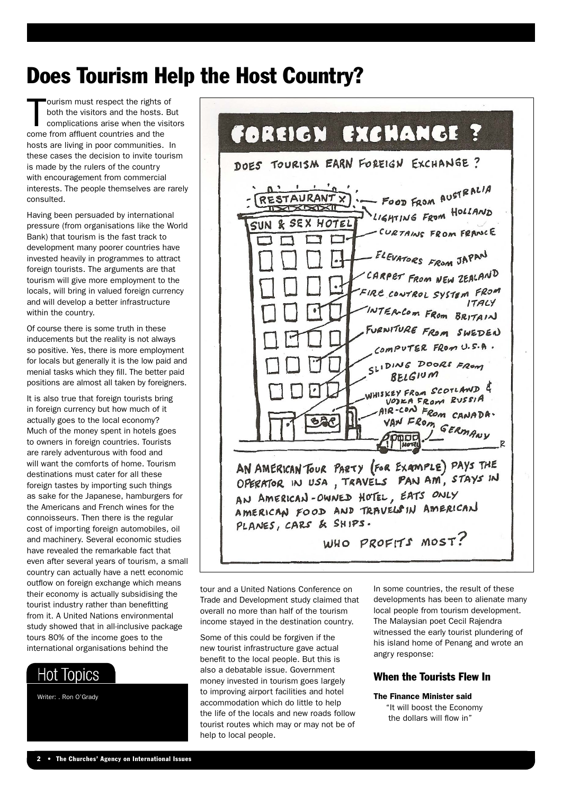## Does Tourism Help the Host Country?

T ourism must respect the rights of both the visitors and the hosts. But complications arise when the visitors come from affluent countries and the hosts are living in poor communities. In these cases the decision to invite tourism is made by the rulers of the country with encouragement from commercial interests. The people themselves are rarely consulted.

Having been persuaded by international pressure (from organisations like the World Bank) that tourism is the fast track to development many poorer countries have invested heavily in programmes to attract foreign tourists. The arguments are that tourism will give more employment to the locals, will bring in valued foreign currency and will develop a better infrastructure within the country.

Of course there is some truth in these inducements but the reality is not always so positive. Yes, there is more employment for locals but generally it is the low paid and menial tasks which they fill. The better paid positions are almost all taken by foreigners.

It is also true that foreign tourists bring in foreign currency but how much of it actually goes to the local economy? Much of the money spent in hotels goes to owners in foreign countries. Tourists are rarely adventurous with food and will want the comforts of home. Tourism destinations must cater for all these foreign tastes by importing such things as sake for the Japanese, hamburgers for the Americans and French wines for the connoisseurs. Then there is the regular cost of importing foreign automobiles, oil and machinery. Several economic studies have revealed the remarkable fact that even after several years of tourism, a small country can actually have a nett economic outflow on foreign exchange which means their economy is actually subsidising the tourist industry rather than benefitting from it. A United Nations environmental study showed that in all-inclusive package tours 80% of the income goes to the international organisations behind the

## **Hot Topics**

Writer: . Ron O'Grady



tour and a United Nations Conference on Trade and Development study claimed that overall no more than half of the tourism income stayed in the destination country.

Some of this could be forgiven if the new tourist infrastructure gave actual benefit to the local people. But this is also a debatable issue. Government money invested in tourism goes largely to improving airport facilities and hotel accommodation which do little to help the life of the locals and new roads follow tourist routes which may or may not be of help to local people.

In some countries, the result of these developments has been to alienate many local people from tourism development. The Malaysian poet Cecil Rajendra witnessed the early tourist plundering of his island home of Penang and wrote an angry response:

### When the Tourists Flew In

### The Finance Minister said

"It will boost the Economy the dollars will flow in"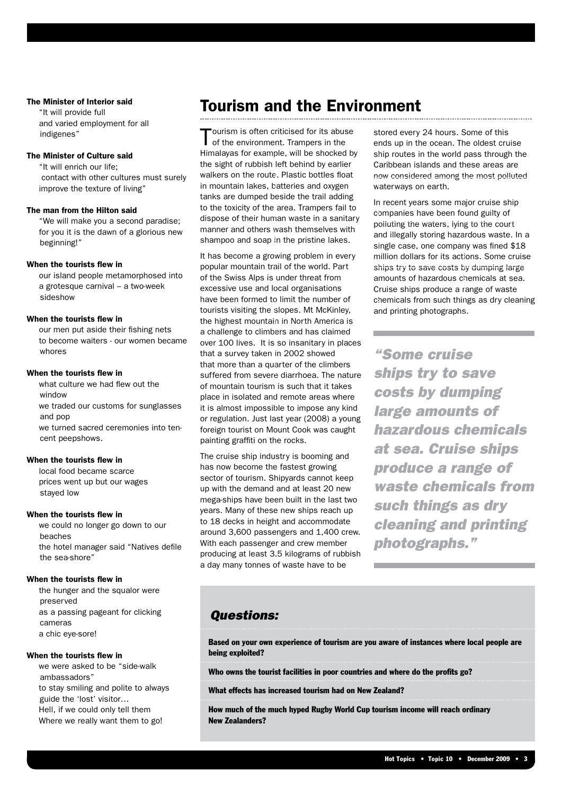#### The Minister of Interior said

"It will provide full and varied employment for all indigenes"

### The Minister of Culture said

"It will enrich our life; contact with other cultures must surely improve the texture of living"

### The man from the Hilton said

"We will make you a second paradise; for you it is the dawn of a glorious new beginning!"

### When the tourists flew in

our island people metamorphosed into a grotesque carnival – a two-week sideshow

#### When the tourists flew in

our men put aside their fishing nets to become waiters - our women became whores

#### When the tourists flew in

what culture we had flew out the window we traded our customs for sunglasses and pop we turned sacred ceremonies into tencent peepshows.

#### When the tourists flew in

local food became scarce prices went up but our wages stayed low

#### When the tourists flew in

we could no longer go down to our beaches the hotel manager said "Natives defile the sea-shore"

#### When the tourists flew in

the hunger and the squalor were preserved as a passing pageant for clicking cameras a chic eye-sore!

### When the tourists flew in

we were asked to be "side-walk ambassadors" to stay smiling and polite to always guide the 'lost' visitor… Hell, if we could only tell them Where we really want them to go!

### Tourism and the Environment

Tourism is often criticised for its abuse<br>of the environment. Trampers in the Himalayas for example, will be shocked by the sight of rubbish left behind by earlier walkers on the route. Plastic bottles float in mountain lakes, batteries and oxygen tanks are dumped beside the trail adding to the toxicity of the area. Trampers fail to dispose of their human waste in a sanitary manner and others wash themselves with shampoo and soap in the pristine lakes.

It has become a growing problem in every popular mountain trail of the world. Part of the Swiss Alps is under threat from excessive use and local organisations have been formed to limit the number of tourists visiting the slopes. Mt McKinley, the highest mountain in North America is a challenge to climbers and has claimed over 100 lives. It is so insanitary in places that a survey taken in 2002 showed that more than a quarter of the climbers suffered from severe diarrhoea. The nature of mountain tourism is such that it takes place in isolated and remote areas where it is almost impossible to impose any kind or regulation. Just last year (2008) a young foreign tourist on Mount Cook was caught painting graffiti on the rocks.

The cruise ship industry is booming and has now become the fastest growing sector of tourism. Shipyards cannot keep up with the demand and at least 20 new mega-ships have been built in the last two years. Many of these new ships reach up to 18 decks in height and accommodate around 3,600 passengers and 1,400 crew. With each passenger and crew member producing at least 3.5 kilograms of rubbish a day many tonnes of waste have to be

stored every 24 hours. Some of this ends up in the ocean. The oldest cruise ship routes in the world pass through the Caribbean islands and these areas are now considered among the most polluted waterways on earth.

In recent years some major cruise ship companies have been found guilty of polluting the waters, lying to the court and illegally storing hazardous waste. In a single case, one company was fined \$18 million dollars for its actions. Some cruise ships try to save costs by dumping large amounts of hazardous chemicals at sea. Cruise ships produce a range of waste chemicals from such things as dry cleaning and printing photographs.

*"Some cruise ships try to save costs by dumping large amounts of hazardous chemicals at sea. Cruise ships produce a range of waste chemicals from such things as dry cleaning and printing photographs."*

### *Questions:*

Based on your own experience of tourism are you aware of instances where local people are being exploited?

Who owns the tourist facilities in poor countries and where do the profits go?

What effects has increased tourism had on New Zealand?

How much of the much hyped Rugby World Cup tourism income will reach ordinary New Zealanders?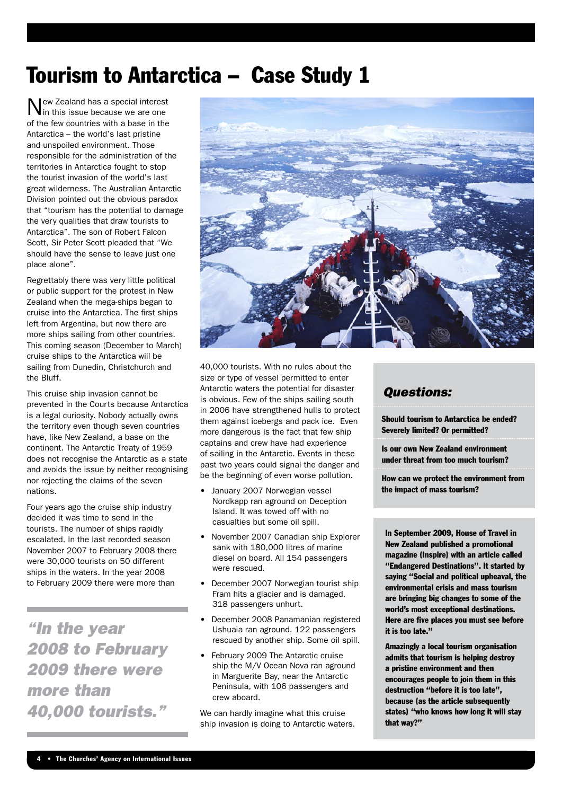## Tourism to Antarctica – Case Study 1

ew Zealand has a special interest in this issue because we are one of the few countries with a base in the Antarctica – the world's last pristine and unspoiled environment. Those responsible for the administration of the territories in Antarctica fought to stop the tourist invasion of the world's last great wilderness. The Australian Antarctic Division pointed out the obvious paradox that "tourism has the potential to damage the very qualities that draw tourists to Antarctica". The son of Robert Falcon Scott, Sir Peter Scott pleaded that "We should have the sense to leave just one place alone".

Regrettably there was very little political or public support for the protest in New Zealand when the mega-ships began to cruise into the Antarctica. The first ships left from Argentina, but now there are more ships sailing from other countries. This coming season (December to March) cruise ships to the Antarctica will be sailing from Dunedin, Christchurch and the Bluff.

This cruise ship invasion cannot be prevented in the Courts because Antarctica is a legal curiosity. Nobody actually owns the territory even though seven countries have, like New Zealand, a base on the continent. The Antarctic Treaty of 1959 does not recognise the Antarctic as a state and avoids the issue by neither recognising nor rejecting the claims of the seven nations.

Four years ago the cruise ship industry decided it was time to send in the tourists. The number of ships rapidly escalated. In the last recorded season November 2007 to February 2008 there were 30,000 tourists on 50 different ships in the waters. In the year 2008 to February 2009 there were more than

*"In the year 2008 to February 2009 there were more than 40,000 tourists."*



40,000 tourists. With no rules about the size or type of vessel permitted to enter Antarctic waters the potential for disaster is obvious. Few of the ships sailing south in 2006 have strengthened hulls to protect them against icebergs and pack ice. Even more dangerous is the fact that few ship captains and crew have had experience of sailing in the Antarctic. Events in these past two years could signal the danger and be the beginning of even worse pollution.

- January 2007 Norwegian vessel Nordkapp ran aground on Deception Island. It was towed off with no casualties but some oil spill.
- • November 2007 Canadian ship Explorer sank with 180,000 litres of marine diesel on board. All 154 passengers were rescued.
- December 2007 Norwegian tourist ship Fram hits a glacier and is damaged. 318 passengers unhurt.
- • December 2008 Panamanian registered Ushuaia ran aground. 122 passengers rescued by another ship. Some oil spill.
- • February 2009 The Antarctic cruise ship the M/V Ocean Nova ran aground in Marguerite Bay, near the Antarctic Peninsula, with 106 passengers and crew aboard.

We can hardly imagine what this cruise ship invasion is doing to Antarctic waters.

### *Questions:*

Should tourism to Antarctica be ended? Severely limited? Or permitted?

Is our own New Zealand environment under threat from too much tourism?

How can we protect the environment from the impact of mass tourism?

In September 2009, House of Travel in New Zealand published a promotional magazine (Inspire) with an article called "Endangered Destinations". It started by saying "Social and political upheaval, the environmental crisis and mass tourism are bringing big changes to some of the world's most exceptional destinations. Here are five places you must see before it is too late."

Amazingly a local tourism organisation admits that tourism is helping destroy a pristine environment and then encourages people to join them in this destruction "before it is too late", because (as the article subsequently states) "who knows how long it will stay that way?"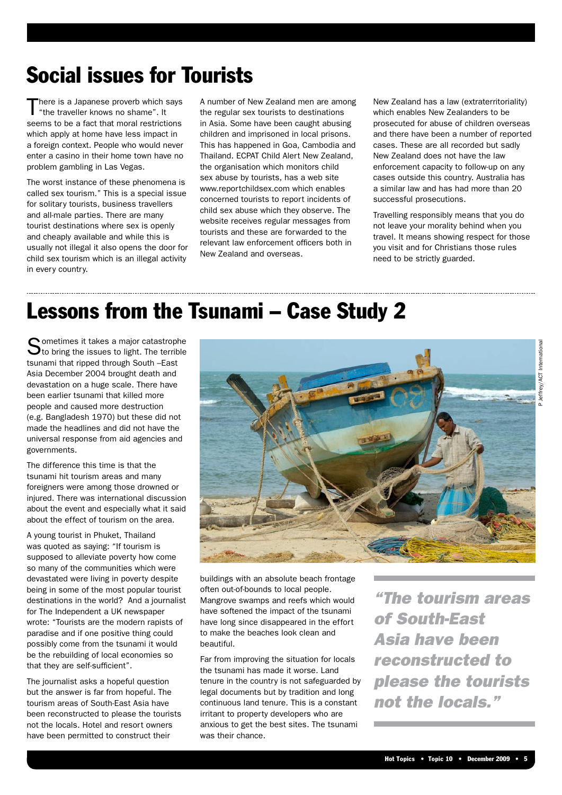## Social issues for Tourists

There is a Japanese proverb which says "the traveller knows no shame". It seems to be a fact that moral restrictions which apply at home have less impact in a foreign context. People who would never enter a casino in their home town have no problem gambling in Las Vegas.

The worst instance of these phenomena is called sex tourism." This is a special issue for solitary tourists, business travellers and all-male parties. There are many tourist destinations where sex is openly and cheaply available and while this is usually not illegal it also opens the door for child sex tourism which is an illegal activity in every country.

A number of New Zealand men are among the regular sex tourists to destinations in Asia. Some have been caught abusing children and imprisoned in local prisons. This has happened in Goa, Cambodia and Thailand. ECPAT Child Alert New Zealand, the organisation which monitors child sex abuse by tourists, has a web site www.reportchildsex.com which enables concerned tourists to report incidents of child sex abuse which they observe. The website receives regular messages from tourists and these are forwarded to the relevant law enforcement officers both in New Zealand and overseas.

New Zealand has a law (extraterritoriality) which enables New Zealanders to be prosecuted for abuse of children overseas and there have been a number of reported cases. These are all recorded but sadly New Zealand does not have the law enforcement capacity to follow-up on any cases outside this country. Australia has a similar law and has had more than 20 successful prosecutions.

Travelling responsibly means that you do not leave your morality behind when you travel. It means showing respect for those you visit and for Christians those rules need to be strictly guarded.

## Lessons from the Tsunami – Case Study 2

Sometimes it takes a major catastrophe<br>Sto bring the issues to light. The terrible tsunami that ripped through South –East Asia December 2004 brought death and devastation on a huge scale. There have been earlier tsunami that killed more people and caused more destruction (e.g. Bangladesh 1970) but these did not made the headlines and did not have the universal response from aid agencies and governments.

The difference this time is that the tsunami hit tourism areas and many foreigners were among those drowned or injured. There was international discussion about the event and especially what it said about the effect of tourism on the area.

A young tourist in Phuket, Thailand was quoted as saying: "If tourism is supposed to alleviate poverty how come so many of the communities which were devastated were living in poverty despite being in some of the most popular tourist destinations in the world? And a journalist for The Independent a UK newspaper wrote: "Tourists are the modern rapists of paradise and if one positive thing could possibly come from the tsunami it would be the rebuilding of local economies so that they are self-sufficient".

The journalist asks a hopeful question but the answer is far from hopeful. The tourism areas of South-East Asia have been reconstructed to please the tourists not the locals. Hotel and resort owners have been permitted to construct their



buildings with an absolute beach frontage often out-of-bounds to local people. Mangrove swamps and reefs which would have softened the impact of the tsunami have long since disappeared in the effort to make the beaches look clean and beautiful.

Far from improving the situation for locals the tsunami has made it worse. Land tenure in the country is not safeguarded by legal documents but by tradition and long continuous land tenure. This is a constant irritant to property developers who are anxious to get the best sites. The tsunami was their chance.

*"The tourism areas of South-East Asia have been reconstructed to please the tourists not the locals."*

P Jeffrey/ACT InternationalJeffrey/ACT International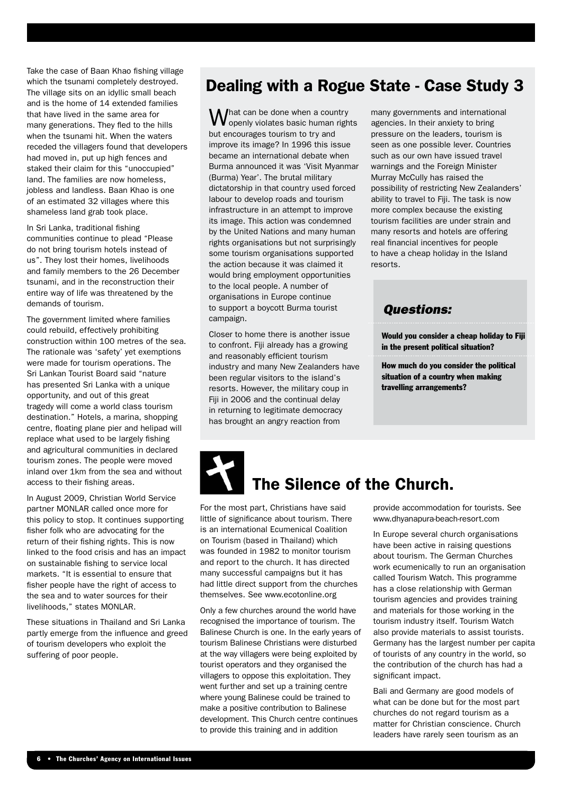Take the case of Baan Khao fishing village which the tsunami completely destroyed. The village sits on an idyllic small beach and is the home of 14 extended families that have lived in the same area for many generations. They fled to the hills when the tsunami hit. When the waters receded the villagers found that developers had moved in, put up high fences and staked their claim for this "unoccupied" land. The families are now homeless, jobless and landless. Baan Khao is one of an estimated 32 villages where this shameless land grab took place.

In Sri Lanka, traditional fishing communities continue to plead "Please do not bring tourism hotels instead of us". They lost their homes, livelihoods and family members to the 26 December tsunami, and in the reconstruction their entire way of life was threatened by the demands of tourism.

The government limited where families could rebuild, effectively prohibiting construction within 100 metres of the sea. The rationale was 'safety' yet exemptions were made for tourism operations. The Sri Lankan Tourist Board said "nature has presented Sri Lanka with a unique opportunity, and out of this great tragedy will come a world class tourism destination." Hotels, a marina, shopping centre, floating plane pier and helipad will replace what used to be largely fishing and agricultural communities in declared tourism zones. The people were moved inland over 1km from the sea and without access to their fishing areas.

In August 2009, Christian World Service partner MONLAR called once more for this policy to stop. It continues supporting fisher folk who are advocating for the return of their fishing rights. This is now linked to the food crisis and has an impact on sustainable fishing to service local markets. "It is essential to ensure that fisher people have the right of access to the sea and to water sources for their livelihoods," states MONLAR.

These situations in Thailand and Sri Lanka partly emerge from the influence and greed of tourism developers who exploit the suffering of poor people.

### Dealing with a Rogue State - Case Study 3

 $\bigvee$ hat can be done when a country openly violates basic human rights but encourages tourism to try and improve its image? In 1996 this issue became an international debate when Burma announced it was 'Visit Myanmar (Burma) Year'. The brutal military dictatorship in that country used forced labour to develop roads and tourism infrastructure in an attempt to improve its image. This action was condemned by the United Nations and many human rights organisations but not surprisingly some tourism organisations supported the action because it was claimed it would bring employment opportunities to the local people. A number of organisations in Europe continue to support a boycott Burma tourist campaign.

Closer to home there is another issue to confront. Fiji already has a growing and reasonably efficient tourism industry and many New Zealanders have been regular visitors to the island's resorts. However, the military coup in Fiji in 2006 and the continual delay in returning to legitimate democracy has brought an angry reaction from

many governments and international agencies. In their anxiety to bring pressure on the leaders, tourism is seen as one possible lever. Countries such as our own have issued travel warnings and the Foreign Minister Murray McCully has raised the possibility of restricting New Zealanders' ability to travel to Fiji. The task is now more complex because the existing tourism facilities are under strain and many resorts and hotels are offering real financial incentives for people to have a cheap holiday in the Island resorts.

### *Questions:*

Would you consider a cheap holiday to Fiji in the present political situation?

How much do you consider the political situation of a country when making travelling arrangements?



## The Silence of the Church.

For the most part, Christians have said little of significance about tourism. There is an international Ecumenical Coalition on Tourism (based in Thailand) which was founded in 1982 to monitor tourism and report to the church. It has directed many successful campaigns but it has had little direct support from the churches themselves. See www.ecotonline.org

Only a few churches around the world have recognised the importance of tourism. The Balinese Church is one. In the early years of tourism Balinese Christians were disturbed at the way villagers were being exploited by tourist operators and they organised the villagers to oppose this exploitation. They went further and set up a training centre where young Balinese could be trained to make a positive contribution to Balinese development. This Church centre continues to provide this training and in addition

provide accommodation for tourists. See www.dhyanapura-beach-resort.com

In Europe several church organisations have been active in raising questions about tourism. The German Churches work ecumenically to run an organisation called Tourism Watch. This programme has a close relationship with German tourism agencies and provides training and materials for those working in the tourism industry itself. Tourism Watch also provide materials to assist tourists. Germany has the largest number per capita of tourists of any country in the world, so the contribution of the church has had a significant impact.

Bali and Germany are good models of what can be done but for the most part churches do not regard tourism as a matter for Christian conscience. Church leaders have rarely seen tourism as an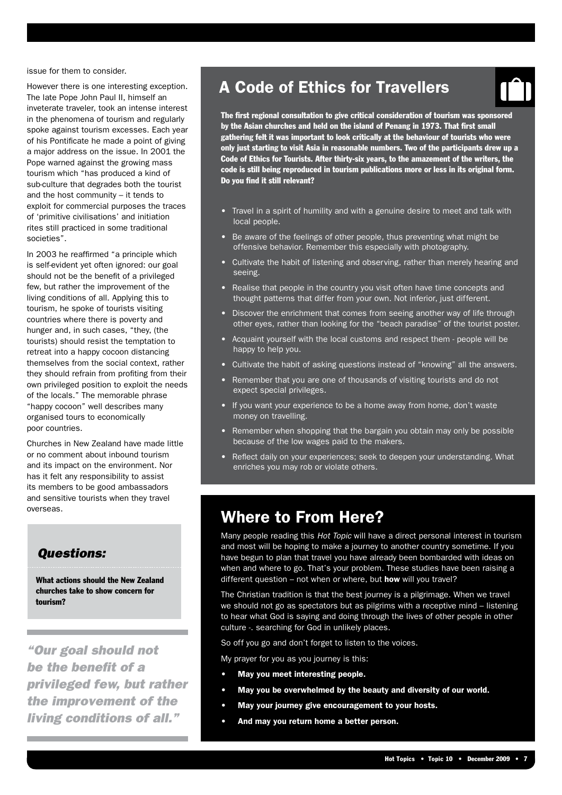issue for them to consider.

However there is one interesting exception. The late Pope John Paul II, himself an inveterate traveler, took an intense interest in the phenomena of tourism and regularly spoke against tourism excesses. Each year of his Pontificate he made a point of giving a major address on the issue. In 2001 the Pope warned against the growing mass tourism which "has produced a kind of sub-culture that degrades both the tourist and the host community – it tends to exploit for commercial purposes the traces of 'primitive civilisations' and initiation rites still practiced in some traditional societies".

In 2003 he reaffirmed "a principle which is self-evident yet often ignored: our goal should not be the benefit of a privileged few, but rather the improvement of the living conditions of all. Applying this to tourism, he spoke of tourists visiting countries where there is poverty and hunger and, in such cases, "they, (the tourists) should resist the temptation to retreat into a happy cocoon distancing themselves from the social context, rather they should refrain from profiting from their own privileged position to exploit the needs of the locals." The memorable phrase "happy cocoon" well describes many organised tours to economically poor countries.

Churches in New Zealand have made little or no comment about inbound tourism and its impact on the environment. Nor has it felt any responsibility to assist its members to be good ambassadors and sensitive tourists when they travel overseas.

### *Questions:*

What actions should the New Zealand churches take to show concern for tourism?

*"Our goal should not be the benefit of a privileged few, but rather the improvement of the living conditions of all."*

## A Code of Ethics for Travellers

The first regional consultation to give critical consideration of tourism was sponsored by the Asian churches and held on the island of Penang in 1973. That first small gathering felt it was important to look critically at the behaviour of tourists who were only just starting to visit Asia in reasonable numbers. Two of the participants drew up a Code of Ethics for Tourists. After thirty-six years, to the amazement of the writers, the code is still being reproduced in tourism publications more or less in its original form. Do you find it still relevant?

- Travel in a spirit of humility and with a genuine desire to meet and talk with local people.
- Be aware of the feelings of other people, thus preventing what might be offensive behavior. Remember this especially with photography.
- Cultivate the habit of listening and observing, rather than merely hearing and seeing.
- Realise that people in the country you visit often have time concepts and thought patterns that differ from your own. Not inferior, just different.
- Discover the enrichment that comes from seeing another way of life through other eyes, rather than looking for the "beach paradise" of the tourist poster.
- Acquaint yourself with the local customs and respect them people will be happy to help you.
- Cultivate the habit of asking questions instead of "knowing" all the answers.
- Remember that you are one of thousands of visiting tourists and do not expect special privileges.
- If you want your experience to be a home away from home, don't waste money on travelling.
- Remember when shopping that the bargain you obtain may only be possible because of the low wages paid to the makers.
- Reflect daily on your experiences; seek to deepen your understanding. What enriches you may rob or violate others.

### Where to From Here?

Many people reading this *Hot Topic* will have a direct personal interest in tourism and most will be hoping to make a journey to another country sometime. If you have begun to plan that travel you have already been bombarded with ideas on when and where to go. That's your problem. These studies have been raising a different question – not when or where, but how will you travel?

The Christian tradition is that the best journey is a pilgrimage. When we travel we should not go as spectators but as pilgrims with a receptive mind – listening to hear what God is saying and doing through the lives of other people in other culture -. searching for God in unlikely places.

So off you go and don't forget to listen to the voices.

My prayer for you as you journey is this:

- May you meet interesting people.
- May you be overwhelmed by the beauty and diversity of our world.
- May your journey give encouragement to your hosts.
- And may you return home a better person.